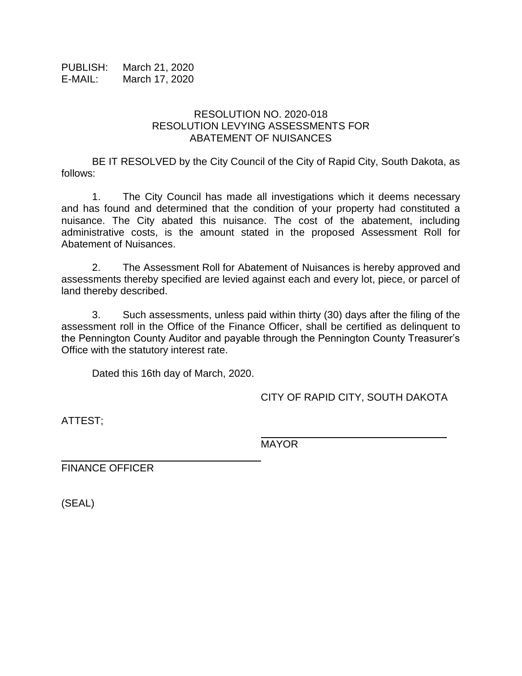PUBLISH: March 21, 2020 E-MAIL: March 17, 2020

## RESOLUTION NO. 2020-018 RESOLUTION LEVYING ASSESSMENTS FOR ABATEMENT OF NUISANCES

BE IT RESOLVED by the City Council of the City of Rapid City, South Dakota, as follows:

1. The City Council has made all investigations which it deems necessary and has found and determined that the condition of your property had constituted a nuisance. The City abated this nuisance. The cost of the abatement, including administrative costs, is the amount stated in the proposed Assessment Roll for Abatement of Nuisances.

2. The Assessment Roll for Abatement of Nuisances is hereby approved and assessments thereby specified are levied against each and every lot, piece, or parcel of land thereby described.

3. Such assessments, unless paid within thirty (30) days after the filing of the assessment roll in the Office of the Finance Officer, shall be certified as delinquent to the Pennington County Auditor and payable through the Pennington County Treasurer's Office with the statutory interest rate.

Dated this 16th day of March, 2020.

CITY OF RAPID CITY, SOUTH DAKOTA

\_\_\_\_\_\_\_\_\_\_\_\_\_\_\_\_\_\_\_\_\_\_\_\_\_\_\_\_\_\_

ATTEST;

MAYOR

FINANCE OFFICER

(SEAL)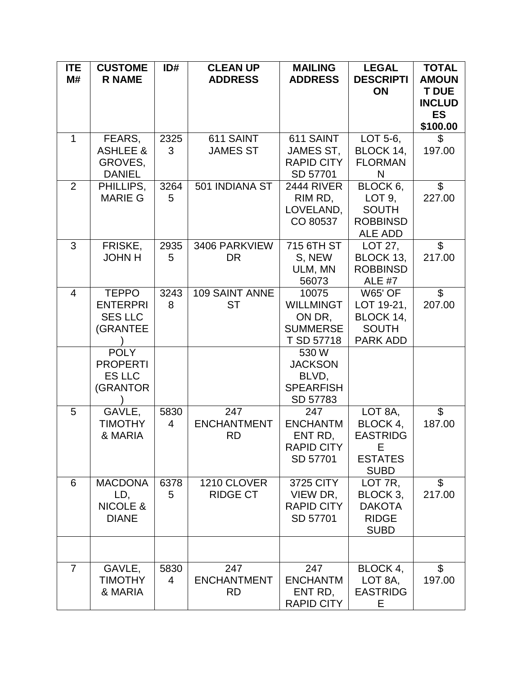| <b>ITE</b>     | <b>CUSTOME</b>                 | ID#  | <b>CLEAN UP</b>       | <b>MAILING</b>                        | <b>LEGAL</b>                | <b>TOTAL</b>              |
|----------------|--------------------------------|------|-----------------------|---------------------------------------|-----------------------------|---------------------------|
| M#             | <b>R NAME</b>                  |      | <b>ADDRESS</b>        | <b>ADDRESS</b>                        | <b>DESCRIPTI</b>            | <b>AMOUN</b>              |
|                |                                |      |                       |                                       | ON                          | <b>T DUE</b>              |
|                |                                |      |                       |                                       |                             | <b>INCLUD</b>             |
|                |                                |      |                       |                                       |                             | <b>ES</b>                 |
|                |                                |      |                       |                                       |                             | \$100.00                  |
| $\mathbf{1}$   | FEARS,                         | 2325 | 611 SAINT             | 611 SAINT                             | LOT 5-6,                    | \$                        |
|                | <b>ASHLEE &amp;</b><br>GROVES, | 3    | <b>JAMES ST</b>       | <b>JAMES ST,</b><br><b>RAPID CITY</b> | BLOCK 14,<br><b>FLORMAN</b> | 197.00                    |
|                | <b>DANIEL</b>                  |      |                       | SD 57701                              | N                           |                           |
| 2              | PHILLIPS,                      | 3264 | 501 INDIANA ST        | <b>2444 RIVER</b>                     | BLOCK 6,                    | $\mathfrak{S}$            |
|                | <b>MARIE G</b>                 | 5    |                       | RIM RD,                               | LOT 9,                      | 227.00                    |
|                |                                |      |                       | LOVELAND,                             | <b>SOUTH</b>                |                           |
|                |                                |      |                       | CO 80537                              | <b>ROBBINSD</b>             |                           |
|                |                                |      |                       |                                       | ALE ADD                     |                           |
| 3              | FRISKE,                        | 2935 | 3406 PARKVIEW         | 715 6TH ST                            | LOT 27,                     | $\overline{\mathcal{S}}$  |
|                | <b>JOHN H</b>                  | 5    | <b>DR</b>             | S, NEW                                | BLOCK 13,                   | 217.00                    |
|                |                                |      |                       | ULM, MN                               | <b>ROBBINSD</b>             |                           |
|                |                                |      |                       | 56073                                 | <b>ALE #7</b>               |                           |
| 4              | <b>TEPPO</b>                   | 3243 | <b>109 SAINT ANNE</b> | 10075                                 | <b>W65' OF</b>              | $\mathfrak{L}$            |
|                | <b>ENTERPRI</b>                | 8    | <b>ST</b>             | <b>WILLMINGT</b>                      | LOT 19-21,                  | 207.00                    |
|                | <b>SES LLC</b>                 |      |                       | ON DR,                                | BLOCK 14,                   |                           |
|                | (GRANTEE                       |      |                       | <b>SUMMERSE</b>                       | <b>SOUTH</b>                |                           |
|                |                                |      |                       | T SD 57718                            | <b>PARK ADD</b>             |                           |
|                | <b>POLY</b><br><b>PROPERTI</b> |      |                       | 530 W<br><b>JACKSON</b>               |                             |                           |
|                | <b>ES LLC</b>                  |      |                       | BLVD,                                 |                             |                           |
|                | (GRANTOR                       |      |                       | <b>SPEARFISH</b>                      |                             |                           |
|                |                                |      |                       | SD 57783                              |                             |                           |
| 5              | GAVLE,                         | 5830 | 247                   | 247                                   | LOT 8A,                     | $\mathfrak{S}$            |
|                | <b>TIMOTHY</b>                 | 4    | <b>ENCHANTMENT</b>    | <b>ENCHANTM</b>                       | BLOCK 4,                    | 187.00                    |
|                | & MARIA                        |      | <b>RD</b>             | ENT RD,                               | <b>EASTRIDG</b>             |                           |
|                |                                |      |                       | <b>RAPID CITY</b>                     | Е                           |                           |
|                |                                |      |                       | SD 57701                              | <b>ESTATES</b>              |                           |
|                |                                |      |                       |                                       | <b>SUBD</b>                 |                           |
| 6              | <b>MACDONA</b>                 | 6378 | 1210 CLOVER           | 3725 CITY                             | LOT 7R,                     | $\mathfrak{L}$            |
|                | LD,                            | 5    | <b>RIDGE CT</b>       | VIEW DR,                              | BLOCK 3,                    | 217.00                    |
|                | <b>NICOLE &amp;</b>            |      |                       | <b>RAPID CITY</b>                     | <b>DAKOTA</b>               |                           |
|                | <b>DIANE</b>                   |      |                       | SD 57701                              | <b>RIDGE</b>                |                           |
|                |                                |      |                       |                                       | <b>SUBD</b>                 |                           |
|                |                                |      |                       |                                       |                             |                           |
| $\overline{7}$ | GAVLE,                         | 5830 | 247                   | 247                                   | BLOCK 4,                    | $\boldsymbol{\mathsf{S}}$ |
|                | <b>TIMOTHY</b>                 | 4    | <b>ENCHANTMENT</b>    | <b>ENCHANTM</b>                       | LOT 8A,                     | 197.00                    |
|                | & MARIA                        |      | <b>RD</b>             | ENT RD,                               | <b>EASTRIDG</b>             |                           |
|                |                                |      |                       | <b>RAPID CITY</b>                     | E.                          |                           |